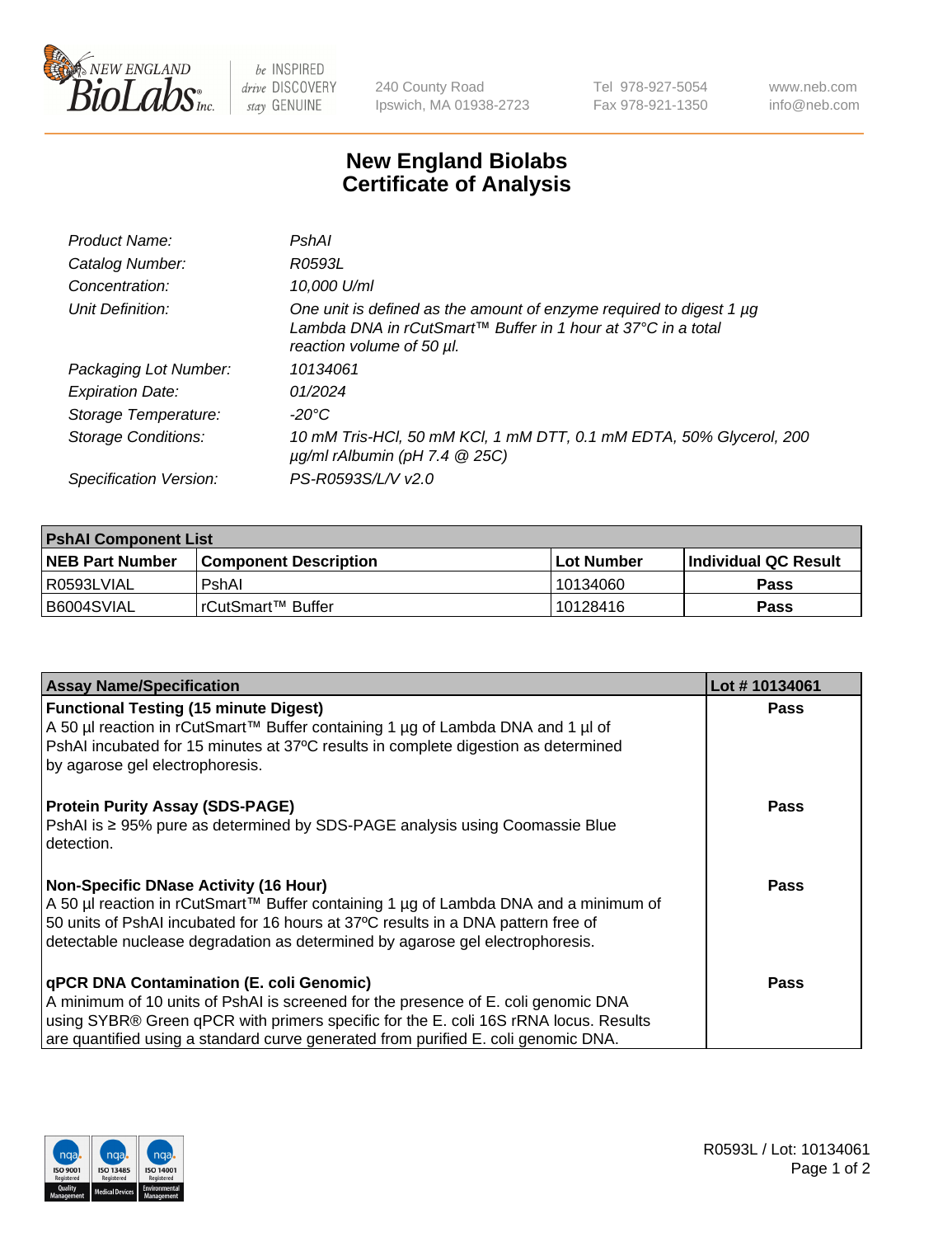

 $be$  INSPIRED drive DISCOVERY stay GENUINE

240 County Road Ipswich, MA 01938-2723 Tel 978-927-5054 Fax 978-921-1350 www.neb.com info@neb.com

## **New England Biolabs Certificate of Analysis**

| Product Name:              | PshAl                                                                                                                                                            |
|----------------------------|------------------------------------------------------------------------------------------------------------------------------------------------------------------|
| Catalog Number:            | R0593L                                                                                                                                                           |
| Concentration:             | 10.000 U/ml                                                                                                                                                      |
| Unit Definition:           | One unit is defined as the amount of enzyme required to digest 1 µg<br>Lambda DNA in rCutSmart™ Buffer in 1 hour at 37°C in a total<br>reaction volume of 50 µl. |
| Packaging Lot Number:      | 10134061                                                                                                                                                         |
| <b>Expiration Date:</b>    | 01/2024                                                                                                                                                          |
| Storage Temperature:       | $-20^{\circ}$ C                                                                                                                                                  |
| <b>Storage Conditions:</b> | 10 mM Tris-HCl, 50 mM KCl, 1 mM DTT, 0.1 mM EDTA, 50% Glycerol, 200<br>$\mu$ g/ml rAlbumin (pH 7.4 $\circledR$ 25C)                                              |
| Specification Version:     | PS-R0593S/L/V v2.0                                                                                                                                               |
|                            |                                                                                                                                                                  |

| <b>PshAI Component List</b> |                         |              |                             |  |  |
|-----------------------------|-------------------------|--------------|-----------------------------|--|--|
| <b>NEB Part Number</b>      | l Component Description | l Lot Number | <b>Individual QC Result</b> |  |  |
| I R0593LVIAL                | PshAl                   | 10134060     | Pass                        |  |  |
| I B6004SVIAL                | l rCutSmart™ Buffer     | 10128416     | <b>Pass</b>                 |  |  |

| <b>Assay Name/Specification</b>                                                                                       | Lot #10134061 |
|-----------------------------------------------------------------------------------------------------------------------|---------------|
| <b>Functional Testing (15 minute Digest)</b>                                                                          | <b>Pass</b>   |
| A 50 µl reaction in rCutSmart™ Buffer containing 1 µg of Lambda DNA and 1 µl of                                       |               |
| PshAI incubated for 15 minutes at 37°C results in complete digestion as determined<br>by agarose gel electrophoresis. |               |
|                                                                                                                       |               |
| <b>Protein Purity Assay (SDS-PAGE)</b>                                                                                | <b>Pass</b>   |
| PshAI is ≥ 95% pure as determined by SDS-PAGE analysis using Coomassie Blue                                           |               |
| detection.                                                                                                            |               |
| <b>Non-Specific DNase Activity (16 Hour)</b>                                                                          | Pass          |
| A 50 µl reaction in rCutSmart™ Buffer containing 1 µg of Lambda DNA and a minimum of                                  |               |
| 50 units of PshAI incubated for 16 hours at 37°C results in a DNA pattern free of                                     |               |
| detectable nuclease degradation as determined by agarose gel electrophoresis.                                         |               |
| <b>qPCR DNA Contamination (E. coli Genomic)</b>                                                                       | <b>Pass</b>   |
|                                                                                                                       |               |
| A minimum of 10 units of PshAI is screened for the presence of E. coli genomic DNA                                    |               |
| using SYBR® Green qPCR with primers specific for the E. coli 16S rRNA locus. Results                                  |               |
| are quantified using a standard curve generated from purified E. coli genomic DNA.                                    |               |